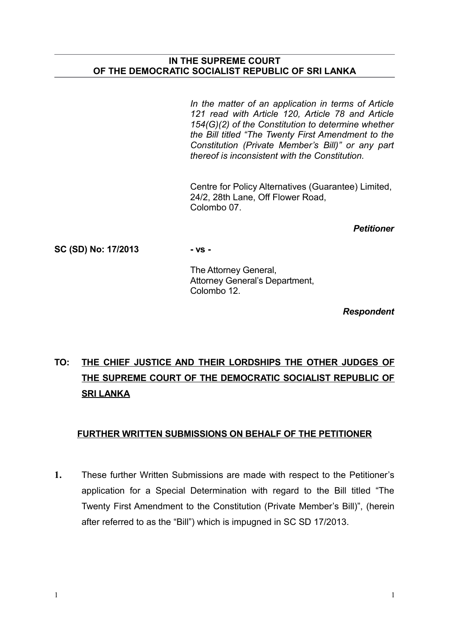### **IN THE SUPREME COURT OF THE DEMOCRATIC SOCIALIST REPUBLIC OF SRI LANKA**

*In the matter of an application in terms of Article 121 read with Article 120, Article 78 and Article 154(G)(2) of the Constitution to determine whether the Bill titled "The Twenty First Amendment to the Constitution (Private Member's Bill)" or any part thereof is inconsistent with the Constitution.* 

Centre for Policy Alternatives (Guarantee) Limited, 24/2, 28th Lane, Off Flower Road, Colombo 07.

*Petitioner*

**SC (SD) No: 17/2013 - vs -**

The Attorney General, Attorney General's Department, Colombo 12.

*Respondent*

## **TO: THE CHIEF JUSTICE AND THEIR LORDSHIPS THE OTHER JUDGES OF THE SUPREME COURT OF THE DEMOCRATIC SOCIALIST REPUBLIC OF SRI LANKA**

### **FURTHER WRITTEN SUBMISSIONS ON BEHALF OF THE PETITIONER**

**1.** These further Written Submissions are made with respect to the Petitioner's application for a Special Determination with regard to the Bill titled "The Twenty First Amendment to the Constitution (Private Member's Bill)", (herein after referred to as the "Bill") which is impugned in SC SD 17/2013.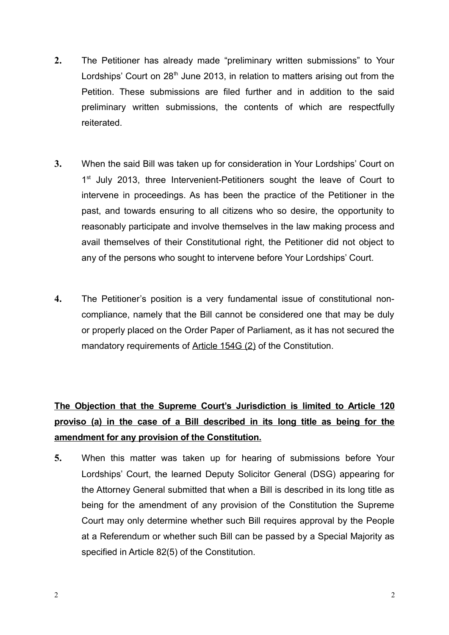- **2.** The Petitioner has already made "preliminary written submissions" to Your Lordships' Court on  $28<sup>th</sup>$  June 2013, in relation to matters arising out from the Petition. These submissions are filed further and in addition to the said preliminary written submissions, the contents of which are respectfully reiterated.
- **3.** When the said Bill was taken up for consideration in Your Lordships' Court on 1<sup>st</sup> July 2013, three Intervenient-Petitioners sought the leave of Court to intervene in proceedings. As has been the practice of the Petitioner in the past, and towards ensuring to all citizens who so desire, the opportunity to reasonably participate and involve themselves in the law making process and avail themselves of their Constitutional right, the Petitioner did not object to any of the persons who sought to intervene before Your Lordships' Court.
- **4.** The Petitioner's position is a very fundamental issue of constitutional noncompliance, namely that the Bill cannot be considered one that may be duly or properly placed on the Order Paper of Parliament, as it has not secured the mandatory requirements of Article 154G (2) of the Constitution.

## **The Objection that the Supreme Court's Jurisdiction is limited to Article 120 proviso (a) in the case of a Bill described in its long title as being for the amendment for any provision of the Constitution.**

**5.** When this matter was taken up for hearing of submissions before Your Lordships' Court, the learned Deputy Solicitor General (DSG) appearing for the Attorney General submitted that when a Bill is described in its long title as being for the amendment of any provision of the Constitution the Supreme Court may only determine whether such Bill requires approval by the People at a Referendum or whether such Bill can be passed by a Special Majority as specified in Article 82(5) of the Constitution.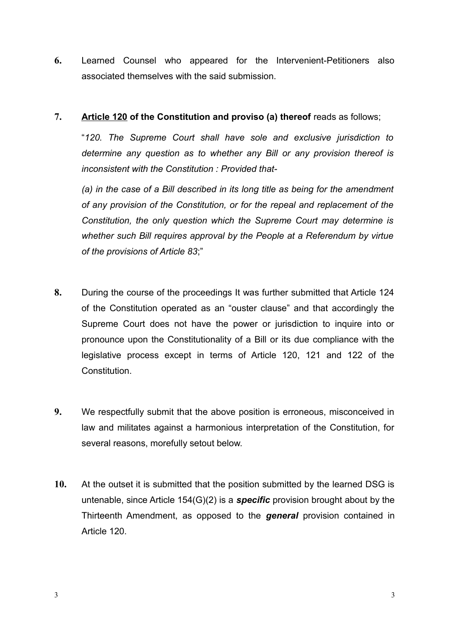**6.** Learned Counsel who appeared for the Intervenient-Petitioners also associated themselves with the said submission.

## **7. Article 120 of the Constitution and proviso (a) thereof** reads as follows;

"*120. The Supreme Court shall have sole and exclusive jurisdiction to determine any question as to whether any Bill or any provision thereof is inconsistent with the Constitution : Provided that-* 

*(a) in the case of a Bill described in its long title as being for the amendment of any provision of the Constitution, or for the repeal and replacement of the Constitution, the only question which the Supreme Court may determine is whether such Bill requires approval by the People at a Referendum by virtue of the provisions of Article 83*;"

- **8.** During the course of the proceedings It was further submitted that Article 124 of the Constitution operated as an "ouster clause" and that accordingly the Supreme Court does not have the power or jurisdiction to inquire into or pronounce upon the Constitutionality of a Bill or its due compliance with the legislative process except in terms of Article 120, 121 and 122 of the **Constitution**
- **9.** We respectfully submit that the above position is erroneous, misconceived in law and militates against a harmonious interpretation of the Constitution, for several reasons, morefully setout below.
- **10.** At the outset it is submitted that the position submitted by the learned DSG is untenable, since Article 154(G)(2) is a *specific* provision brought about by the Thirteenth Amendment, as opposed to the *general* provision contained in Article 120.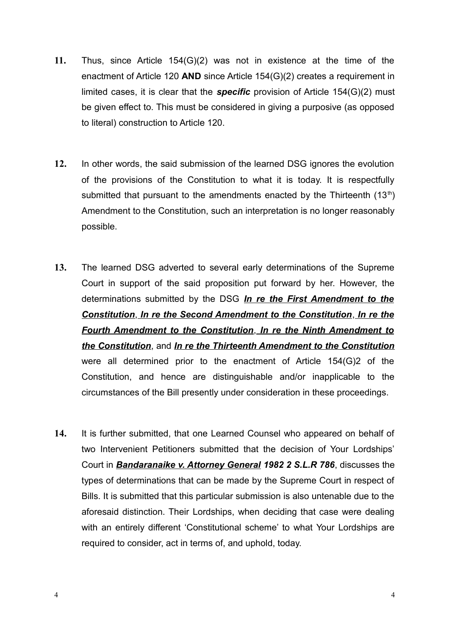- **11.** Thus, since Article 154(G)(2) was not in existence at the time of the enactment of Article 120 **AND** since Article 154(G)(2) creates a requirement in limited cases, it is clear that the *specific* provision of Article 154(G)(2) must be given effect to. This must be considered in giving a purposive (as opposed to literal) construction to Article 120.
- **12.** In other words, the said submission of the learned DSG ignores the evolution of the provisions of the Constitution to what it is today. It is respectfully submitted that pursuant to the amendments enacted by the Thirteenth  $(13<sup>th</sup>)$ Amendment to the Constitution, such an interpretation is no longer reasonably possible.
- **13.** The learned DSG adverted to several early determinations of the Supreme Court in support of the said proposition put forward by her. However, the determinations submitted by the DSG *In re the First Amendment to the Constitution*, *In re the Second Amendment to the Constitution*, *In re the Fourth Amendment to the Constitution*, *In re the Ninth Amendment to the Constitution*, and *In re the Thirteenth Amendment to the Constitution* were all determined prior to the enactment of Article 154(G)2 of the Constitution, and hence are distinguishable and/or inapplicable to the circumstances of the Bill presently under consideration in these proceedings.
- **14.** It is further submitted, that one Learned Counsel who appeared on behalf of two Intervenient Petitioners submitted that the decision of Your Lordships' Court in *Bandaranaike v. Attorney General 1982 2 S.L.R 786*, discusses the types of determinations that can be made by the Supreme Court in respect of Bills. It is submitted that this particular submission is also untenable due to the aforesaid distinction. Their Lordships, when deciding that case were dealing with an entirely different 'Constitutional scheme' to what Your Lordships are required to consider, act in terms of, and uphold, today.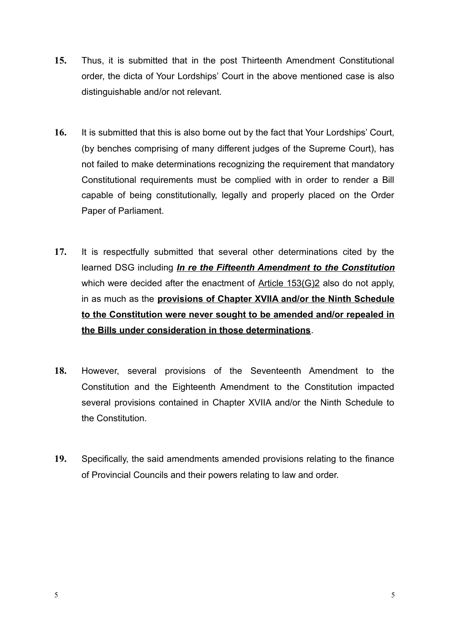- **15.** Thus, it is submitted that in the post Thirteenth Amendment Constitutional order, the dicta of Your Lordships' Court in the above mentioned case is also distinguishable and/or not relevant.
- **16.** It is submitted that this is also borne out by the fact that Your Lordships' Court, (by benches comprising of many different judges of the Supreme Court), has not failed to make determinations recognizing the requirement that mandatory Constitutional requirements must be complied with in order to render a Bill capable of being constitutionally, legally and properly placed on the Order Paper of Parliament.
- **17.** It is respectfully submitted that several other determinations cited by the learned DSG including *In re the Fifteenth Amendment to the Constitution* which were decided after the enactment of Article 153(G)2 also do not apply, in as much as the **provisions of Chapter XVIIA and/or the Ninth Schedule to the Constitution were never sought to be amended and/or repealed in the Bills under consideration in those determinations**.
- **18.** However, several provisions of the Seventeenth Amendment to the Constitution and the Eighteenth Amendment to the Constitution impacted several provisions contained in Chapter XVIIA and/or the Ninth Schedule to the Constitution.
- **19.** Specifically, the said amendments amended provisions relating to the finance of Provincial Councils and their powers relating to law and order.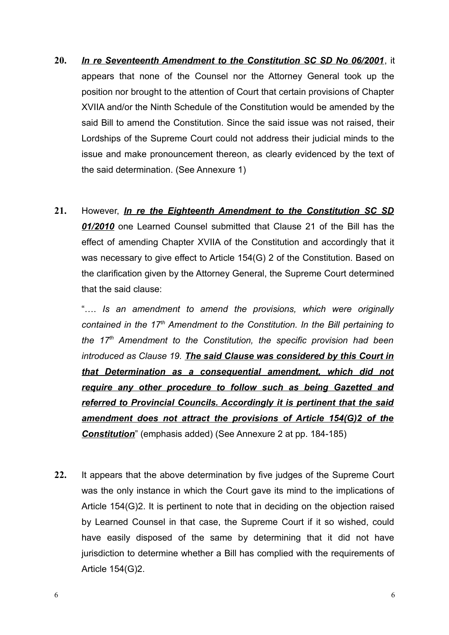- **20.** *In re Seventeenth Amendment to the Constitution SC SD No 06/2001*, it appears that none of the Counsel nor the Attorney General took up the position nor brought to the attention of Court that certain provisions of Chapter XVIIA and/or the Ninth Schedule of the Constitution would be amended by the said Bill to amend the Constitution. Since the said issue was not raised, their Lordships of the Supreme Court could not address their judicial minds to the issue and make pronouncement thereon, as clearly evidenced by the text of the said determination. (See Annexure 1)
- **21.** However, *In re the Eighteenth Amendment to the Constitution SC SD 01/2010* one Learned Counsel submitted that Clause 21 of the Bill has the effect of amending Chapter XVIIA of the Constitution and accordingly that it was necessary to give effect to Article 154(G) 2 of the Constitution. Based on the clarification given by the Attorney General, the Supreme Court determined that the said clause:

"…. *Is an amendment to amend the provisions, which were originally contained in the 17th Amendment to the Constitution. In the Bill pertaining to the 17th Amendment to the Constitution, the specific provision had been introduced as Clause 19. The said Clause was considered by this Court in that Determination as a consequential amendment, which did not require any other procedure to follow such as being Gazetted and referred to Provincial Councils. Accordingly it is pertinent that the said amendment does not attract the provisions of Article 154(G)2 of the Constitution*" (emphasis added) (See Annexure 2 at pp. 184-185)

**22.** It appears that the above determination by five judges of the Supreme Court was the only instance in which the Court gave its mind to the implications of Article 154(G)2. It is pertinent to note that in deciding on the objection raised by Learned Counsel in that case, the Supreme Court if it so wished, could have easily disposed of the same by determining that it did not have jurisdiction to determine whether a Bill has complied with the requirements of Article 154(G)2.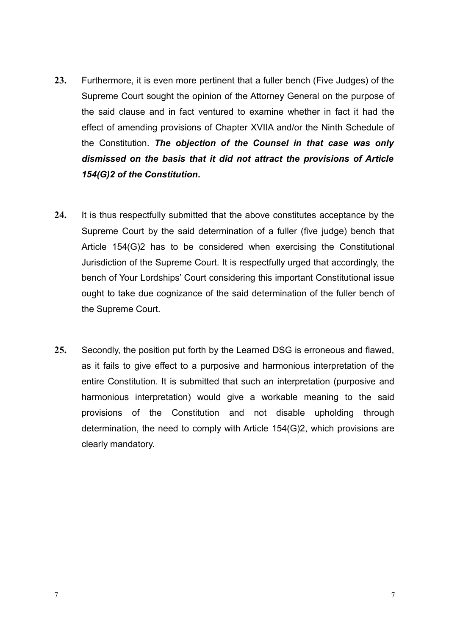- **23.** Furthermore, it is even more pertinent that a fuller bench (Five Judges) of the Supreme Court sought the opinion of the Attorney General on the purpose of the said clause and in fact ventured to examine whether in fact it had the effect of amending provisions of Chapter XVIIA and/or the Ninth Schedule of the Constitution. *The objection of the Counsel in that case was only dismissed on the basis that it did not attract the provisions of Article 154(G)2 of the Constitution***.**
- **24.** It is thus respectfully submitted that the above constitutes acceptance by the Supreme Court by the said determination of a fuller (five judge) bench that Article 154(G)2 has to be considered when exercising the Constitutional Jurisdiction of the Supreme Court. It is respectfully urged that accordingly, the bench of Your Lordships' Court considering this important Constitutional issue ought to take due cognizance of the said determination of the fuller bench of the Supreme Court.
- **25.** Secondly, the position put forth by the Learned DSG is erroneous and flawed, as it fails to give effect to a purposive and harmonious interpretation of the entire Constitution. It is submitted that such an interpretation (purposive and harmonious interpretation) would give a workable meaning to the said provisions of the Constitution and not disable upholding through determination, the need to comply with Article 154(G)2, which provisions are clearly mandatory.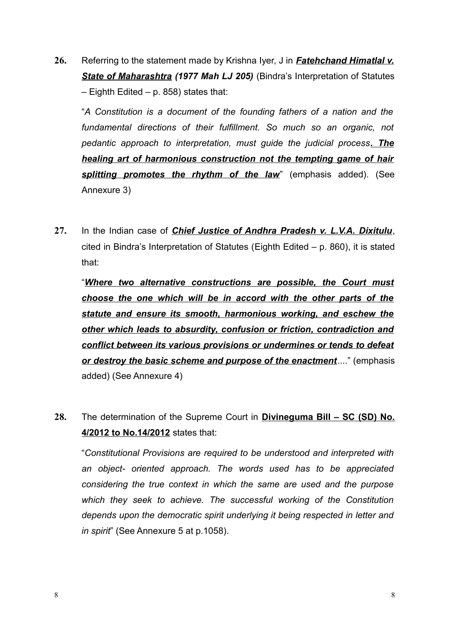**26.** Referring to the statement made by Krishna Iyer, J in *Fatehchand Himatlal v. State of Maharashtra (1977 Mah LJ 205)* (Bindra's Interpretation of Statutes – Eighth Edited – p. 858) states that:

"*A Constitution is a document of the founding fathers of a nation and the fundamental directions of their fulfillment. So much so an organic, not pedantic approach to interpretation, must guide the judicial process. The healing art of harmonious construction not the tempting game of hair splitting promotes the rhythm of the law*" (emphasis added). (See Annexure 3)

**27.** In the Indian case of *Chief Justice of Andhra Pradesh v. L.V.A. Dixitulu*, cited in Bindra's Interpretation of Statutes (Eighth Edited – p. 860), it is stated that:

"*Where two alternative constructions are possible, the Court must choose the one which will be in accord with the other parts of the statute and ensure its smooth, harmonious working, and eschew the other which leads to absurdity, confusion or friction, contradiction and conflict between its various provisions or undermines or tends to defeat or destroy the basic scheme and purpose of the enactment*...." (emphasis added) (See Annexure 4)

**28.** The determination of the Supreme Court in **Divineguma Bill – SC (SD) No. 4/2012 to No.14/2012** states that:

"*Constitutional Provisions are required to be understood and interpreted with an object- oriented approach. The words used has to be appreciated considering the true context in which the same are used and the purpose which they seek to achieve. The successful working of the Constitution depends upon the democratic spirit underlying it being respected in letter and in spirit*" (See Annexure 5 at p.1058).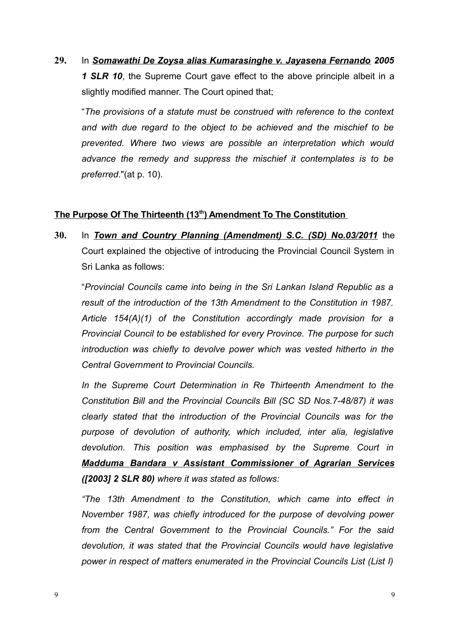**29.** In *Somawathi De Zoysa alias Kumarasinghe v. Jayasena Fernando 2005 1 SLR 10*, the Supreme Court gave effect to the above principle albeit in a slightly modified manner. The Court opined that;

"*The provisions of a statute must be construed with reference to the context and with due regard to the object to be achieved and the mischief to be prevented. Where two views are possible an interpretation which would advance the remedy and suppress the mischief it contemplates is to be preferred*."(at p. 10).

## **The Purpose Of The Thirteenth (13th ) Amendment To The Constitution**

**30.** In *Town and Country Planning (Amendment) S.C. (SD) No.03/2011* the Court explained the objective of introducing the Provincial Council System in Sri Lanka as follows:

"*Provincial Councils came into being in the Sri Lankan Island Republic as a result of the introduction of the 13th Amendment to the Constitution in 1987. Article 154(A)(1) of the Constitution accordingly made provision for a Provincial Council to be established for every Province. The purpose for such introduction was chiefly to devolve power which was vested hitherto in the Central Government to Provincial Councils.*

*In the Supreme Court Determination in Re Thirteenth Amendment to the Constitution Bill and the Provincial Councils Bill (SC SD Nos.7-48/87) it was clearly stated that the introduction of the Provincial Councils was for the purpose of devolution of authority, which included, inter alia, legislative devolution. This position was emphasised by the Supreme Court in Madduma Bandara v Assistant Commissioner of Agrarian Services ([2003] 2 SLR 80) where it was stated as follows:*

*"The 13th Amendment to the Constitution, which came into effect in November 1987, was chiefly introduced for the purpose of devolving power from the Central Government to the Provincial Councils." For the said devolution, it was stated that the Provincial Councils would have legislative power in respect of matters enumerated in the Provincial Councils List (List I)*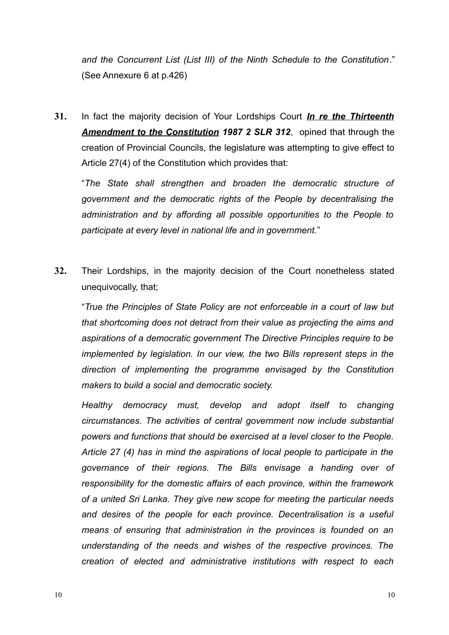*and the Concurrent List (List III) of the Ninth Schedule to the Constitution*." (See Annexure 6 at p.426)

**31.** In fact the majority decision of Your Lordships Court *In re the Thirteenth Amendment to the Constitution 1987 2 SLR 312*, opined that through the creation of Provincial Councils, the legislature was attempting to give effect to Article 27(4) of the Constitution which provides that:

"*The State shall strengthen and broaden the democratic structure of government and the democratic rights of the People by decentralising the administration and by affording all possible opportunities to the People to participate at every level in national life and in government.*"

**32.** Their Lordships, in the majority decision of the Court nonetheless stated unequivocally, that;

"*True the Principles of State Policy are not enforceable in a court of law but that shortcoming does not detract from their value as projecting the aims and aspirations of a democratic government The Directive Principles require to be implemented by legislation. In our view, the two Bills represent steps in the direction of implementing the programme envisaged by the Constitution makers to build a social and democratic society.*

*Healthy democracy must, develop and adopt itself to changing circumstances. The activities of central government now include substantial powers and functions that should be exercised at a level closer to the People. Article 27 (4) has in mind the aspirations of local people to participate in the governance of their regions. The Bills envisage a handing over of responsibility for the domestic affairs of each province, within the framework of a united Sri Lanka. They give new scope for meeting the particular needs and desires of the people for each province. Decentralisation is a useful means of ensuring that administration in the provinces is founded on an understanding of the needs and wishes of the respective provinces. The creation of elected and administrative institutions with respect to each*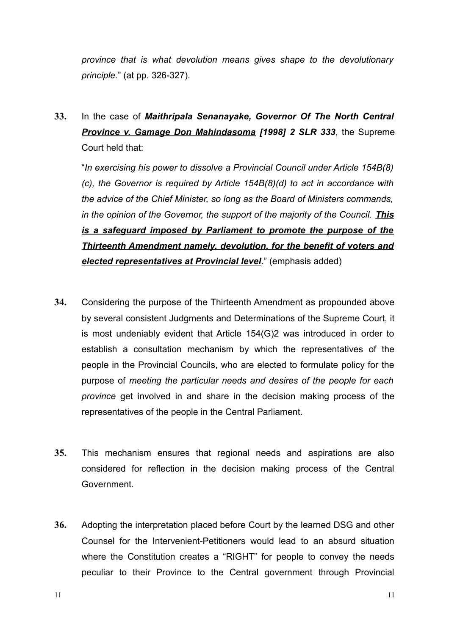*province that is what devolution means gives shape to the devolutionary principle.*" (at pp. 326-327).

**33.** In the case of *Maithripala Senanayake, Governor Of The North Central Province v. Gamage Don Mahindasoma [1998] 2 SLR 333*, the Supreme Court held that:

"*In exercising his power to dissolve a Provincial Council under Article 154B(8) (c), the Governor is required by Article 154B(8)(d) to act in accordance with the advice of the Chief Minister, so long as the Board of Ministers commands, in the opinion of the Governor, the support of the majority of the Council. This is a safeguard imposed by Parliament to promote the purpose of the Thirteenth Amendment namely, devolution, for the benefit of voters and elected representatives at Provincial level*." (emphasis added)

- **34.** Considering the purpose of the Thirteenth Amendment as propounded above by several consistent Judgments and Determinations of the Supreme Court, it is most undeniably evident that Article 154(G)2 was introduced in order to establish a consultation mechanism by which the representatives of the people in the Provincial Councils, who are elected to formulate policy for the purpose of *meeting the particular needs and desires of the people for each province* get involved in and share in the decision making process of the representatives of the people in the Central Parliament.
- **35.** This mechanism ensures that regional needs and aspirations are also considered for reflection in the decision making process of the Central Government.
- **36.** Adopting the interpretation placed before Court by the learned DSG and other Counsel for the Intervenient-Petitioners would lead to an absurd situation where the Constitution creates a "RIGHT" for people to convey the needs peculiar to their Province to the Central government through Provincial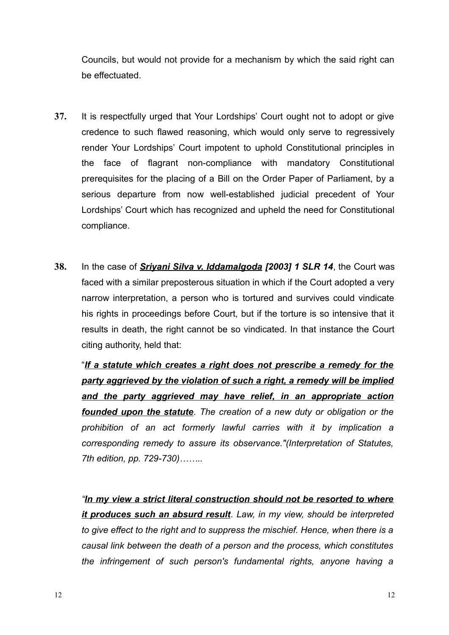Councils, but would not provide for a mechanism by which the said right can be effectuated.

- **37.** It is respectfully urged that Your Lordships' Court ought not to adopt or give credence to such flawed reasoning, which would only serve to regressively render Your Lordships' Court impotent to uphold Constitutional principles in the face of flagrant non-compliance with mandatory Constitutional prerequisites for the placing of a Bill on the Order Paper of Parliament, by a serious departure from now well-established judicial precedent of Your Lordships' Court which has recognized and upheld the need for Constitutional compliance.
- **38.** In the case of *Sriyani Silva v. Iddamalgoda [2003] 1 SLR 14*, the Court was faced with a similar preposterous situation in which if the Court adopted a very narrow interpretation, a person who is tortured and survives could vindicate his rights in proceedings before Court, but if the torture is so intensive that it results in death, the right cannot be so vindicated. In that instance the Court citing authority, held that:

"*If a statute which creates a right does not prescribe a remedy for the party aggrieved by the violation of such a right, a remedy will be implied and the party aggrieved may have relief, in an appropriate action founded upon the statute. The creation of a new duty or obligation or the prohibition of an act formerly lawful carries with it by implication a corresponding remedy to assure its observance."(Interpretation of Statutes, 7th edition, pp. 729-730)……..* 

*"In my view a strict literal construction should not be resorted to where it produces such an absurd result. Law, in my view, should be interpreted to give effect to the right and to suppress the mischief. Hence, when there is a causal link between the death of a person and the process, which constitutes the infringement of such person's fundamental rights, anyone having a*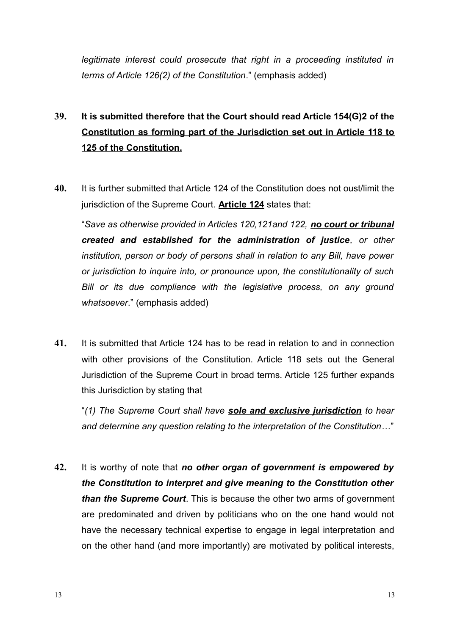*legitimate interest could prosecute that right in a proceeding instituted in terms of Article 126(2) of the Constitution*." (emphasis added)

# **39. It is submitted therefore that the Court should read Article 154(G)2 of the Constitution as forming part of the Jurisdiction set out in Article 118 to 125 of the Constitution.**

**40.** It is further submitted that Article 124 of the Constitution does not oust/limit the jurisdiction of the Supreme Court. **Article 124** states that:

"*Save as otherwise provided in Articles 120,121and 122, no court or tribunal created and established for the administration of justice, or other institution, person or body of persons shall in relation to any Bill, have power or jurisdiction to inquire into, or pronounce upon, the constitutionality of such Bill or its due compliance with the legislative process, on any ground whatsoever*." (emphasis added)

**41.** It is submitted that Article 124 has to be read in relation to and in connection with other provisions of the Constitution. Article 118 sets out the General Jurisdiction of the Supreme Court in broad terms. Article 125 further expands this Jurisdiction by stating that

"*(1) The Supreme Court shall have sole and exclusive jurisdiction to hear and determine any question relating to the interpretation of the Constitution*…"

**42.** It is worthy of note that *no other organ of government is empowered by the Constitution to interpret and give meaning to the Constitution other than the Supreme Court*. This is because the other two arms of government are predominated and driven by politicians who on the one hand would not have the necessary technical expertise to engage in legal interpretation and on the other hand (and more importantly) are motivated by political interests,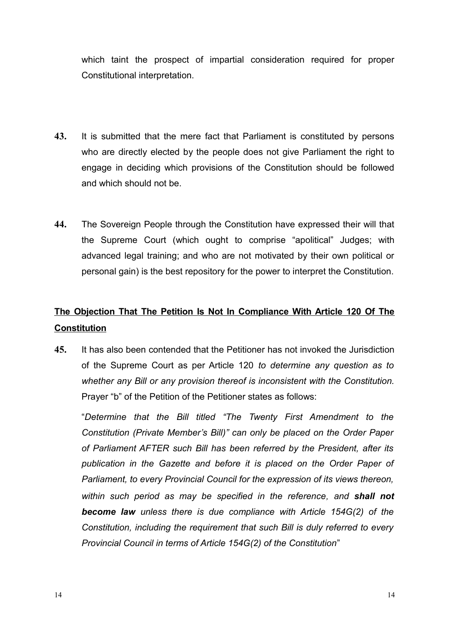which taint the prospect of impartial consideration required for proper Constitutional interpretation.

- **43.** It is submitted that the mere fact that Parliament is constituted by persons who are directly elected by the people does not give Parliament the right to engage in deciding which provisions of the Constitution should be followed and which should not be.
- **44.** The Sovereign People through the Constitution have expressed their will that the Supreme Court (which ought to comprise "apolitical" Judges; with advanced legal training; and who are not motivated by their own political or personal gain) is the best repository for the power to interpret the Constitution.

## **The Objection That The Petition Is Not In Compliance With Article 120 Of The Constitution**

**45.** It has also been contended that the Petitioner has not invoked the Jurisdiction of the Supreme Court as per Article 120 *to determine any question as to whether any Bill or any provision thereof is inconsistent with the Constitution.* Prayer "b" of the Petition of the Petitioner states as follows:

"*Determine that the Bill titled "The Twenty First Amendment to the Constitution (Private Member's Bill)" can only be placed on the Order Paper of Parliament AFTER such Bill has been referred by the President, after its publication in the Gazette and before it is placed on the Order Paper of Parliament, to every Provincial Council for the expression of its views thereon, within such period as may be specified in the reference, and shall not become law unless there is due compliance with Article 154G(2) of the Constitution, including the requirement that such Bill is duly referred to every Provincial Council in terms of Article 154G(2) of the Constitution*"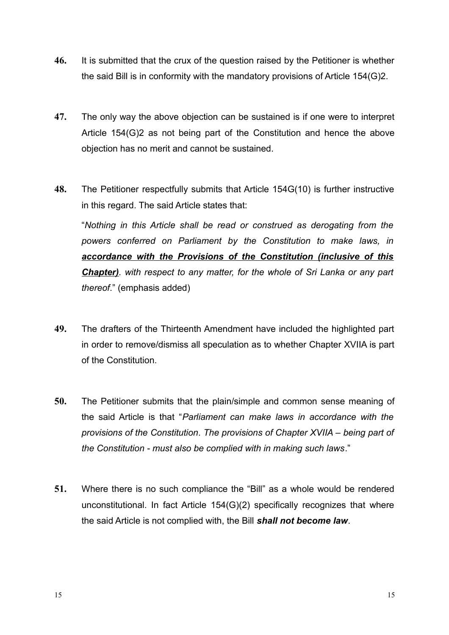- **46.** It is submitted that the crux of the question raised by the Petitioner is whether the said Bill is in conformity with the mandatory provisions of Article 154(G)2.
- **47.** The only way the above objection can be sustained is if one were to interpret Article 154(G)2 as not being part of the Constitution and hence the above objection has no merit and cannot be sustained.
- **48.** The Petitioner respectfully submits that Article 154G(10) is further instructive in this regard. The said Article states that:

"*Nothing in this Article shall be read or construed as derogating from the powers conferred on Parliament by the Constitution to make laws, in accordance with the Provisions of the Constitution (inclusive of this Chapter). with respect to any matter, for the whole of Sri Lanka or any part thereof*." (emphasis added)

- **49.** The drafters of the Thirteenth Amendment have included the highlighted part in order to remove/dismiss all speculation as to whether Chapter XVIIA is part of the Constitution.
- **50.** The Petitioner submits that the plain/simple and common sense meaning of the said Article is that "*Parliament can make laws in accordance with the provisions of the Constitution*. *The provisions of Chapter XVIIA – being part of the Constitution - must also be complied with in making such laws*."
- **51.** Where there is no such compliance the "Bill" as a whole would be rendered unconstitutional. In fact Article 154(G)(2) specifically recognizes that where the said Article is not complied with, the Bill *shall not become law*.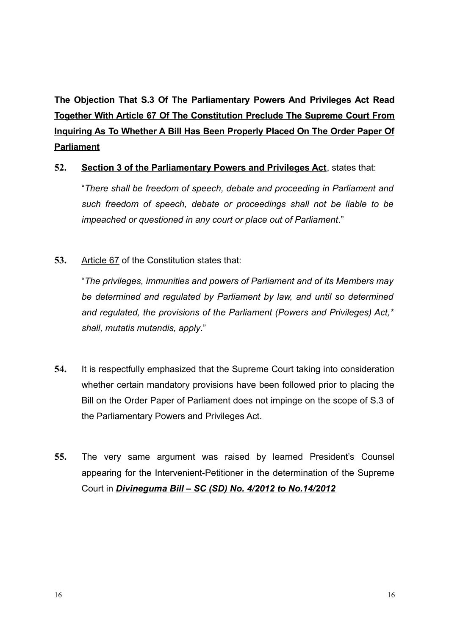**The Objection That S.3 Of The Parliamentary Powers And Privileges Act Read Together With Article 67 Of The Constitution Preclude The Supreme Court From Inquiring As To Whether A Bill Has Been Properly Placed On The Order Paper Of Parliament**

## **52. Section 3 of the Parliamentary Powers and Privileges Act**, states that:

"*There shall be freedom of speech, debate and proceeding in Parliament and such freedom of speech, debate or proceedings shall not be liable to be impeached or questioned in any court or place out of Parliament*."

## **53.** Article 67 of the Constitution states that:

"*The privileges, immunities and powers of Parliament and of its Members may be determined and regulated by Parliament by law, and until so determined and regulated, the provisions of the Parliament (Powers and Privileges) Act,\* shall, mutatis mutandis, apply*."

- **54.** It is respectfully emphasized that the Supreme Court taking into consideration whether certain mandatory provisions have been followed prior to placing the Bill on the Order Paper of Parliament does not impinge on the scope of S.3 of the Parliamentary Powers and Privileges Act.
- **55.** The very same argument was raised by learned President's Counsel appearing for the Intervenient-Petitioner in the determination of the Supreme Court in *Divineguma Bill – SC (SD) No. 4/2012 to No.14/2012*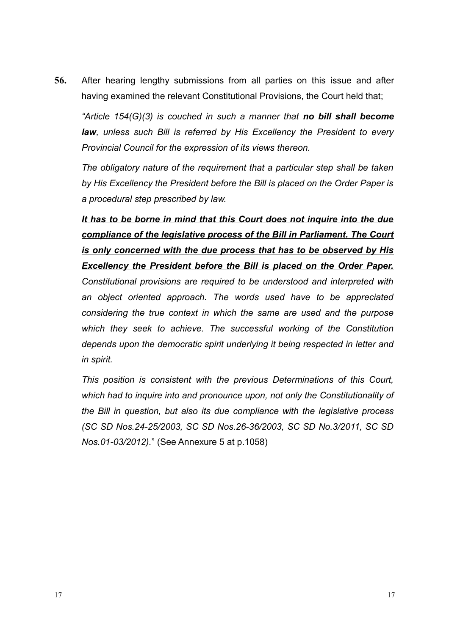**56.** After hearing lengthy submissions from all parties on this issue and after having examined the relevant Constitutional Provisions, the Court held that;

*"Article 154(G)(3) is couched in such a manner that no bill shall become law, unless such Bill is referred by His Excellency the President to every Provincial Council for the expression of its views thereon.*

*The obligatory nature of the requirement that a particular step shall be taken by His Excellency the President before the Bill is placed on the Order Paper is a procedural step prescribed by law.*

*It has to be borne in mind that this Court does not inquire into the due compliance of the legislative process of the Bill in Parliament. The Court is only concerned with the due process that has to be observed by His Excellency the President before the Bill is placed on the Order Paper. Constitutional provisions are required to be understood and interpreted with an object oriented approach. The words used have to be appreciated considering the true context in which the same are used and the purpose which they seek to achieve. The successful working of the Constitution depends upon the democratic spirit underlying it being respected in letter and*

*in spirit.*

*This position is consistent with the previous Determinations of this Court, which had to inquire into and pronounce upon, not only the Constitutionality of the Bill in question, but also its due compliance with the legislative process (SC SD Nos.24-25/2003, SC SD Nos.26-36/2003, SC SD No.3/2011, SC SD Nos.01-03/2012).*" (See Annexure 5 at p.1058)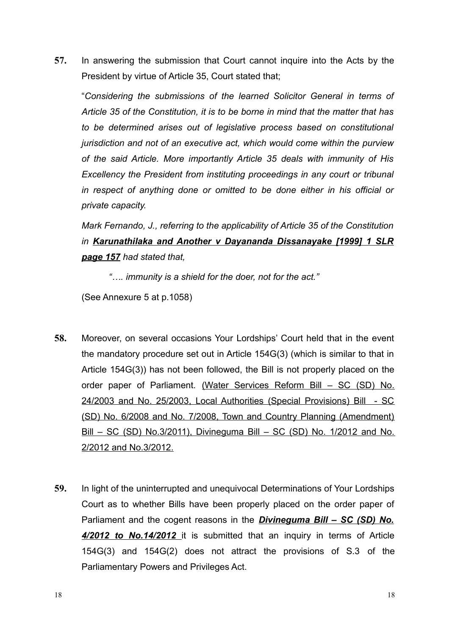**57.** In answering the submission that Court cannot inquire into the Acts by the President by virtue of Article 35, Court stated that;

"*Considering the submissions of the learned Solicitor General in terms of Article 35 of the Constitution, it is to be borne in mind that the matter that has to be determined arises out of legislative process based on constitutional jurisdiction and not of an executive act, which would come within the purview of the said Article. More importantly Article 35 deals with immunity of His Excellency the President from instituting proceedings in any court or tribunal in respect of anything done or omitted to be done either in his official or private capacity.* 

*Mark Fernando, J., referring to the applicability of Article 35 of the Constitution in Karunathilaka and Another v Dayananda Dissanayake [1999] 1 SLR page 157 had stated that,* 

*"…. immunity is a shield for the doer, not for the act."*

(See Annexure 5 at p.1058)

- **58.** Moreover, on several occasions Your Lordships' Court held that in the event the mandatory procedure set out in Article 154G(3) (which is similar to that in Article 154G(3)) has not been followed, the Bill is not properly placed on the order paper of Parliament. (Water Services Reform Bill – SC (SD) No. 24/2003 and No. 25/2003, Local Authorities (Special Provisions) Bill - SC (SD) No. 6/2008 and No. 7/2008, Town and Country Planning (Amendment) Bill – SC (SD) No.3/2011), Divineguma Bill – SC (SD) No. 1/2012 and No. 2/2012 and No.3/2012.
- **59.** In light of the uninterrupted and unequivocal Determinations of Your Lordships Court as to whether Bills have been properly placed on the order paper of Parliament and the cogent reasons in the *Divineguma Bill – SC (SD) No. 4/2012 to No.14/2012* it is submitted that an inquiry in terms of Article 154G(3) and 154G(2) does not attract the provisions of S.3 of the Parliamentary Powers and Privileges Act.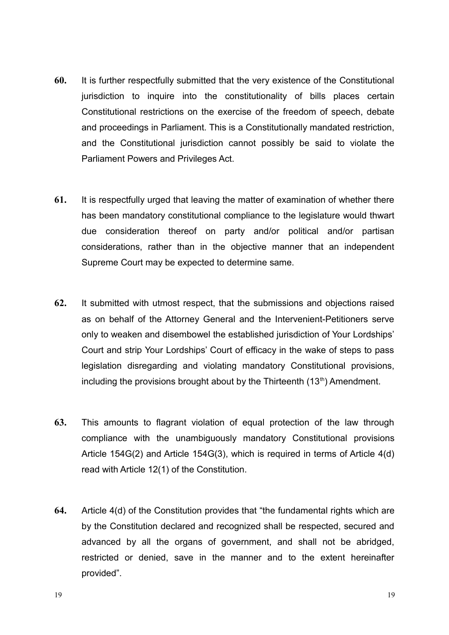- **60.** It is further respectfully submitted that the very existence of the Constitutional jurisdiction to inquire into the constitutionality of bills places certain Constitutional restrictions on the exercise of the freedom of speech, debate and proceedings in Parliament. This is a Constitutionally mandated restriction, and the Constitutional jurisdiction cannot possibly be said to violate the Parliament Powers and Privileges Act.
- **61.** It is respectfully urged that leaving the matter of examination of whether there has been mandatory constitutional compliance to the legislature would thwart due consideration thereof on party and/or political and/or partisan considerations, rather than in the objective manner that an independent Supreme Court may be expected to determine same.
- **62.** It submitted with utmost respect, that the submissions and objections raised as on behalf of the Attorney General and the Intervenient-Petitioners serve only to weaken and disembowel the established jurisdiction of Your Lordships' Court and strip Your Lordships' Court of efficacy in the wake of steps to pass legislation disregarding and violating mandatory Constitutional provisions, including the provisions brought about by the Thirteenth  $(13<sup>th</sup>)$  Amendment.
- **63.** This amounts to flagrant violation of equal protection of the law through compliance with the unambiguously mandatory Constitutional provisions Article 154G(2) and Article 154G(3), which is required in terms of Article 4(d) read with Article 12(1) of the Constitution.
- **64.** Article 4(d) of the Constitution provides that "the fundamental rights which are by the Constitution declared and recognized shall be respected, secured and advanced by all the organs of government, and shall not be abridged, restricted or denied, save in the manner and to the extent hereinafter provided".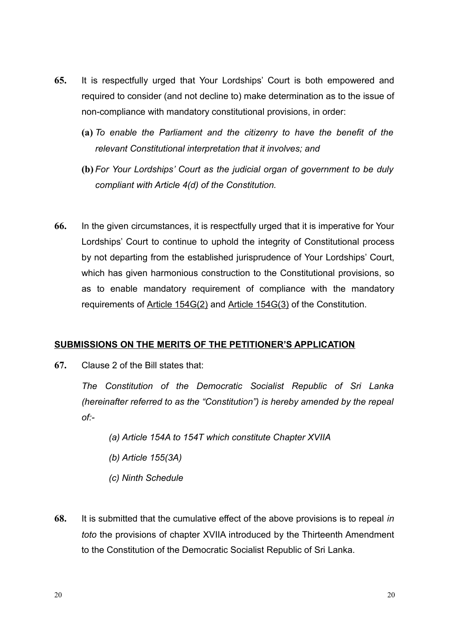- **65.** It is respectfully urged that Your Lordships' Court is both empowered and required to consider (and not decline to) make determination as to the issue of non-compliance with mandatory constitutional provisions, in order:
	- **(a)** *To enable the Parliament and the citizenry to have the benefit of the relevant Constitutional interpretation that it involves; and*
	- **(b)** *For Your Lordships' Court as the judicial organ of government to be duly compliant with Article 4(d) of the Constitution.*
- **66.** In the given circumstances, it is respectfully urged that it is imperative for Your Lordships' Court to continue to uphold the integrity of Constitutional process by not departing from the established jurisprudence of Your Lordships' Court, which has given harmonious construction to the Constitutional provisions, so as to enable mandatory requirement of compliance with the mandatory requirements of Article 154G(2) and Article 154G(3) of the Constitution.

### **SUBMISSIONS ON THE MERITS OF THE PETITIONER'S APPLICATION**

**67.** Clause 2 of the Bill states that:

*The Constitution of the Democratic Socialist Republic of Sri Lanka (hereinafter referred to as the "Constitution") is hereby amended by the repeal of:-*

- *(a) Article 154A to 154T which constitute Chapter XVIIA*
- *(b) Article 155(3A)*
- *(c) Ninth Schedule*
- **68.** It is submitted that the cumulative effect of the above provisions is to repeal *in toto* the provisions of chapter XVIIA introduced by the Thirteenth Amendment to the Constitution of the Democratic Socialist Republic of Sri Lanka.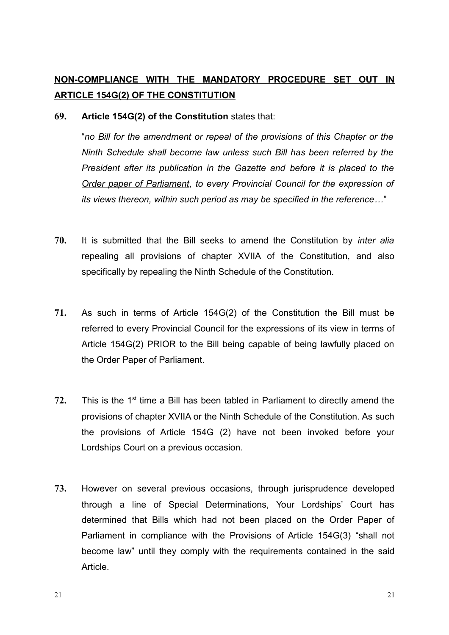## **NON-COMPLIANCE WITH THE MANDATORY PROCEDURE SET OUT IN ARTICLE 154G(2) OF THE CONSTITUTION**

**69. Article 154G(2) of the Constitution** states that:

"*no Bill for the amendment or repeal of the provisions of this Chapter or the Ninth Schedule shall become law unless such Bill has been referred by the President after its publication in the Gazette and before it is placed to the Order paper of Parliament, to every Provincial Council for the expression of its views thereon, within such period as may be specified in the reference…*"

- **70.** It is submitted that the Bill seeks to amend the Constitution by *inter alia* repealing all provisions of chapter XVIIA of the Constitution, and also specifically by repealing the Ninth Schedule of the Constitution.
- **71.** As such in terms of Article 154G(2) of the Constitution the Bill must be referred to every Provincial Council for the expressions of its view in terms of Article 154G(2) PRIOR to the Bill being capable of being lawfully placed on the Order Paper of Parliament.
- 72. This is the 1<sup>st</sup> time a Bill has been tabled in Parliament to directly amend the provisions of chapter XVIIA or the Ninth Schedule of the Constitution. As such the provisions of Article 154G (2) have not been invoked before your Lordships Court on a previous occasion.
- **73.** However on several previous occasions, through jurisprudence developed through a line of Special Determinations, Your Lordships' Court has determined that Bills which had not been placed on the Order Paper of Parliament in compliance with the Provisions of Article 154G(3) "shall not become law" until they comply with the requirements contained in the said Article.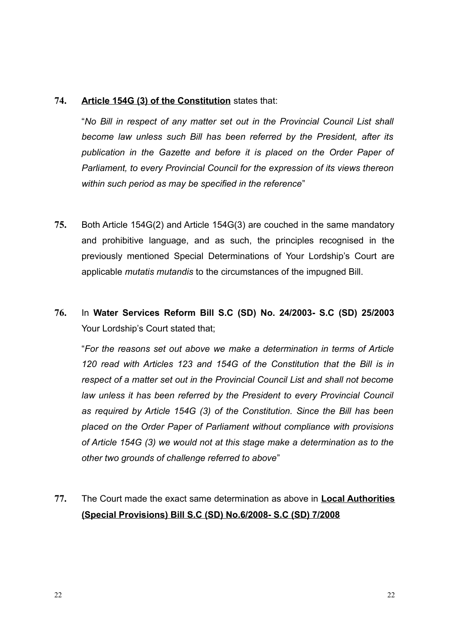### **74. Article 154G (3) of the Constitution** states that:

"*No Bill in respect of any matter set out in the Provincial Council List shall become law unless such Bill has been referred by the President, after its publication in the Gazette and before it is placed on the Order Paper of Parliament, to every Provincial Council for the expression of its views thereon within such period as may be specified in the reference*"

- **75.** Both Article 154G(2) and Article 154G(3) are couched in the same mandatory and prohibitive language, and as such, the principles recognised in the previously mentioned Special Determinations of Your Lordship's Court are applicable *mutatis mutandis* to the circumstances of the impugned Bill.
- **76.** In **Water Services Reform Bill S.C (SD) No. 24/2003- S.C (SD) 25/2003** Your Lordship's Court stated that;

"*For the reasons set out above we make a determination in terms of Article 120 read with Articles 123 and 154G of the Constitution that the Bill is in respect of a matter set out in the Provincial Council List and shall not become law unless it has been referred by the President to every Provincial Council as required by Article 154G (3) of the Constitution. Since the Bill has been placed on the Order Paper of Parliament without compliance with provisions of Article 154G (3) we would not at this stage make a determination as to the other two grounds of challenge referred to above*"

**77.** The Court made the exact same determination as above in **Local Authorities (Special Provisions) Bill S.C (SD) No.6/2008- S.C (SD) 7/2008**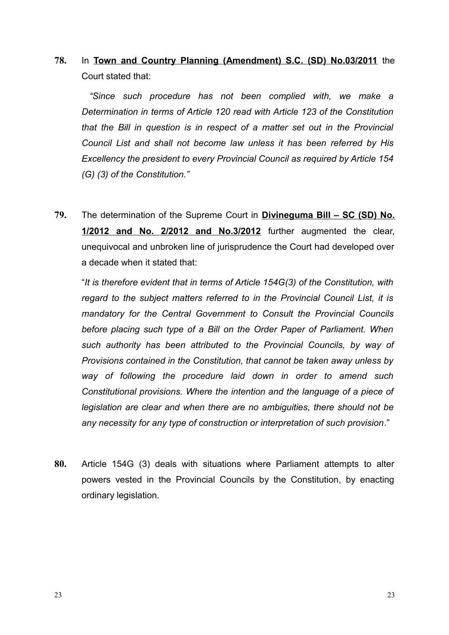**78.** In **Town and Country Planning (Amendment) S.C. (SD) No.03/2011** the Court stated that:

 *"Since such procedure has not been complied with, we make a Determination in terms of Article 120 read with Article 123 of the Constitution that the Bill in question is in respect of a matter set out in the Provincial Council List and shall not become law unless it has been referred by His Excellency the president to every Provincial Council as required by Article 154 (G) (3) of the Constitution."*

**79.** The determination of the Supreme Court in **Divineguma Bill – SC (SD) No. 1/2012 and No. 2/2012 and No.3/2012** further augmented the clear, unequivocal and unbroken line of jurisprudence the Court had developed over a decade when it stated that:

"*It is therefore evident that in terms of Article 154G(3) of the Constitution, with regard to the subject matters referred to in the Provincial Council List, it is mandatory for the Central Government to Consult the Provincial Councils before placing such type of a Bill on the Order Paper of Parliament. When such authority has been attributed to the Provincial Councils, by way of Provisions contained in the Constitution, that cannot be taken away unless by way of following the procedure laid down in order to amend such Constitutional provisions. Where the intention and the language of a piece of legislation are clear and when there are no ambiguities, there should not be any necessity for any type of construction or interpretation of such provision*."

**80.** Article 154G (3) deals with situations where Parliament attempts to alter powers vested in the Provincial Councils by the Constitution, by enacting ordinary legislation.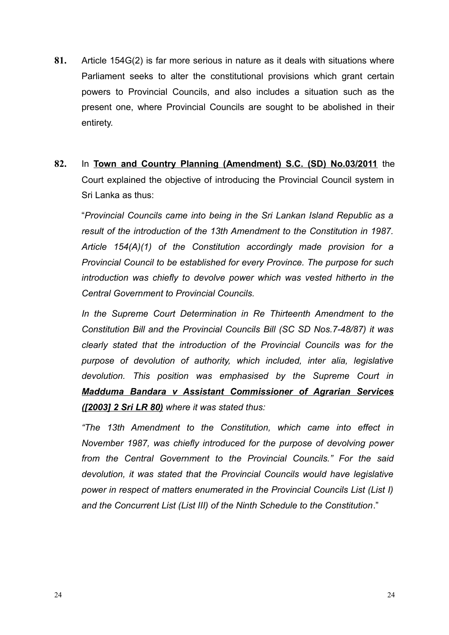- **81.** Article 154G(2) is far more serious in nature as it deals with situations where Parliament seeks to alter the constitutional provisions which grant certain powers to Provincial Councils, and also includes a situation such as the present one, where Provincial Councils are sought to be abolished in their entirety.
- **82.** In **Town and Country Planning (Amendment) S.C. (SD) No.03/2011** the Court explained the objective of introducing the Provincial Council system in Sri Lanka as thus:

"*Provincial Councils came into being in the Sri Lankan Island Republic as a result of the introduction of the 13th Amendment to the Constitution in 1987. Article 154(A)(1) of the Constitution accordingly made provision for a Provincial Council to be established for every Province. The purpose for such introduction was chiefly to devolve power which was vested hitherto in the Central Government to Provincial Councils.*

*In the Supreme Court Determination in Re Thirteenth Amendment to the Constitution Bill and the Provincial Councils Bill (SC SD Nos.7-48/87) it was clearly stated that the introduction of the Provincial Councils was for the purpose of devolution of authority, which included, inter alia, legislative devolution. This position was emphasised by the Supreme Court in Madduma Bandara v Assistant Commissioner of Agrarian Services ([2003] 2 Sri LR 80) where it was stated thus:*

*"The 13th Amendment to the Constitution, which came into effect in November 1987, was chiefly introduced for the purpose of devolving power from the Central Government to the Provincial Councils." For the said devolution, it was stated that the Provincial Councils would have legislative power in respect of matters enumerated in the Provincial Councils List (List I) and the Concurrent List (List III) of the Ninth Schedule to the Constitution*."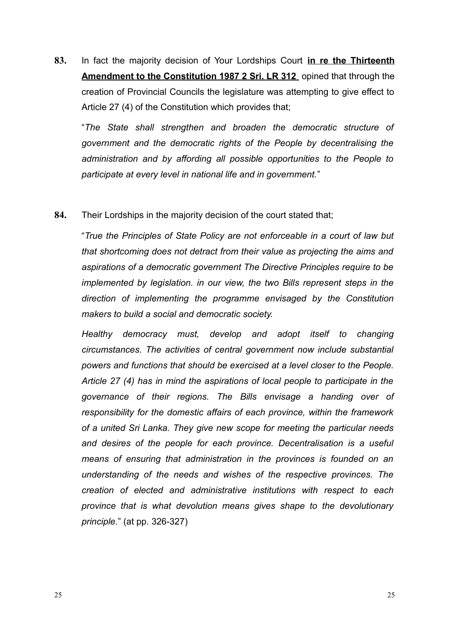**83.** In fact the majority decision of Your Lordships Court **in re the Thirteenth Amendment to the Constitution 1987 2 Sri. LR 312** opined that through the creation of Provincial Councils the legislature was attempting to give effect to Article 27 (4) of the Constitution which provides that;

"*The State shall strengthen and broaden the democratic structure of government and the democratic rights of the People by decentralising the administration and by affording all possible opportunities to the People to participate at every level in national life and in government.*"

### **84.** Their Lordships in the majority decision of the court stated that;

"*True the Principles of State Policy are not enforceable in a court of law but that shortcoming does not detract from their value as projecting the aims and aspirations of a democratic government The Directive Principles require to be implemented by legislation. in our view, the two Bills represent steps in the direction of implementing the programme envisaged by the Constitution makers to build a social and democratic society.*

*Healthy democracy must, develop and adopt itself to changing circumstances. The activities of central government now include substantial powers and functions that should be exercised at a level closer to the People. Article 27 (4) has in mind the aspirations of local people to participate in the governance of their regions. The Bills envisage a handing over of responsibility for the domestic affairs of each province, within the framework of a united Sri Lanka. They give new scope for meeting the particular needs and desires of the people for each province. Decentralisation is a useful means of ensuring that administration in the provinces is founded on an understanding of the needs and wishes of the respective provinces. The creation of elected and administrative institutions with respect to each province that is what devolution means gives shape to the devolutionary principle.*" (at pp. 326-327)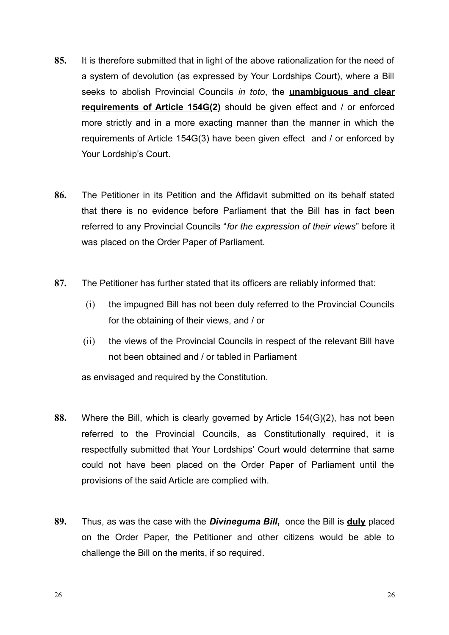- **85.** It is therefore submitted that in light of the above rationalization for the need of a system of devolution (as expressed by Your Lordships Court), where a Bill seeks to abolish Provincial Councils *in toto*, the **unambiguous and clear requirements of Article 154G(2)** should be given effect and / or enforced more strictly and in a more exacting manner than the manner in which the requirements of Article 154G(3) have been given effect and / or enforced by Your Lordship's Court.
- **86.** The Petitioner in its Petition and the Affidavit submitted on its behalf stated that there is no evidence before Parliament that the Bill has in fact been referred to any Provincial Councils "*for the expression of their views*" before it was placed on the Order Paper of Parliament.
- **87.** The Petitioner has further stated that its officers are reliably informed that:
	- (i) the impugned Bill has not been duly referred to the Provincial Councils for the obtaining of their views, and / or
	- (ii) the views of the Provincial Councils in respect of the relevant Bill have not been obtained and / or tabled in Parliament

as envisaged and required by the Constitution.

- **88.** Where the Bill, which is clearly governed by Article 154(G)(2), has not been referred to the Provincial Councils, as Constitutionally required, it is respectfully submitted that Your Lordships' Court would determine that same could not have been placed on the Order Paper of Parliament until the provisions of the said Article are complied with.
- **89.** Thus, as was the case with the *Divineguma Bill***,** once the Bill is **duly** placed on the Order Paper, the Petitioner and other citizens would be able to challenge the Bill on the merits, if so required.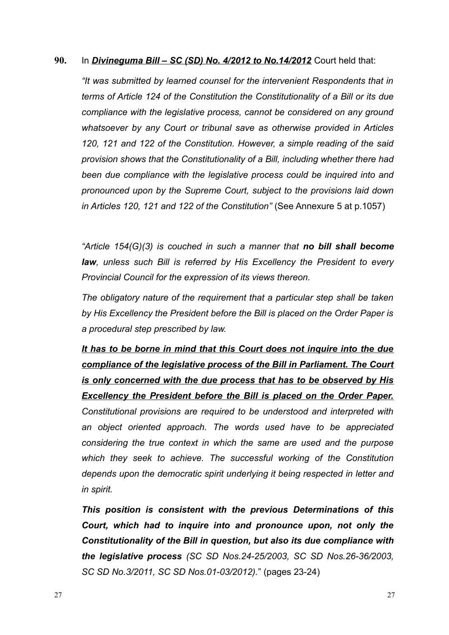### **90.** In *Divineguma Bill – SC (SD) No. 4/2012 to No.14/2012* Court held that:

*"It was submitted by learned counsel for the intervenient Respondents that in terms of Article 124 of the Constitution the Constitutionality of a Bill or its due compliance with the legislative process, cannot be considered on any ground whatsoever by any Court or tribunal save as otherwise provided in Articles 120, 121 and 122 of the Constitution. However, a simple reading of the said provision shows that the Constitutionality of a Bill, including whether there had been due compliance with the legislative process could be inquired into and pronounced upon by the Supreme Court, subject to the provisions laid down in Articles 120, 121 and 122 of the Constitution"* (See Annexure 5 at p.1057)

*"Article 154(G)(3) is couched in such a manner that no bill shall become law, unless such Bill is referred by His Excellency the President to every Provincial Council for the expression of its views thereon.*

*The obligatory nature of the requirement that a particular step shall be taken by His Excellency the President before the Bill is placed on the Order Paper is a procedural step prescribed by law.*

*It has to be borne in mind that this Court does not inquire into the due compliance of the legislative process of the Bill in Parliament. The Court is only concerned with the due process that has to be observed by His Excellency the President before the Bill is placed on the Order Paper. Constitutional provisions are required to be understood and interpreted with an object oriented approach. The words used have to be appreciated considering the true context in which the same are used and the purpose which they seek to achieve. The successful working of the Constitution depends upon the democratic spirit underlying it being respected in letter and in spirit.*

*This position is consistent with the previous Determinations of this Court, which had to inquire into and pronounce upon, not only the Constitutionality of the Bill in question, but also its due compliance with the legislative process (SC SD Nos.24-25/2003, SC SD Nos.26-36/2003, SC SD No.3/2011, SC SD Nos.01-03/2012).*" (pages 23-24)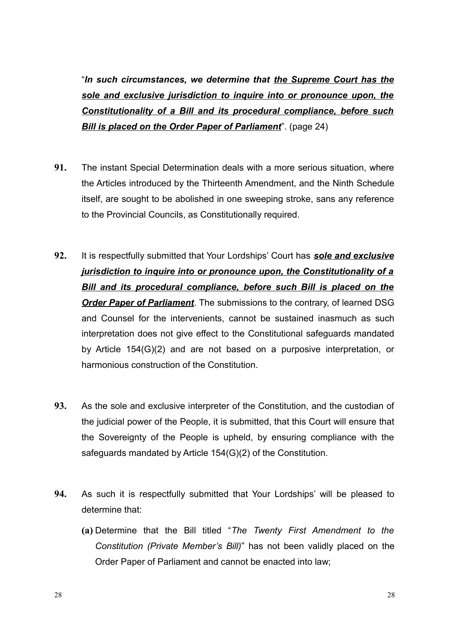"*In such circumstances, we determine that the Supreme Court has the sole and exclusive jurisdiction to inquire into or pronounce upon, the Constitutionality of a Bill and its procedural compliance, before such Bill is placed on the Order Paper of Parliament***". (page 24)** 

- **91.** The instant Special Determination deals with a more serious situation, where the Articles introduced by the Thirteenth Amendment, and the Ninth Schedule itself, are sought to be abolished in one sweeping stroke, sans any reference to the Provincial Councils, as Constitutionally required.
- **92.** It is respectfully submitted that Your Lordships' Court has *sole and exclusive jurisdiction to inquire into or pronounce upon, the Constitutionality of a Bill and its procedural compliance, before such Bill is placed on the Order Paper of Parliament*. The submissions to the contrary, of learned DSG and Counsel for the intervenients, cannot be sustained inasmuch as such interpretation does not give effect to the Constitutional safeguards mandated by Article 154(G)(2) and are not based on a purposive interpretation, or harmonious construction of the Constitution.
- **93.** As the sole and exclusive interpreter of the Constitution, and the custodian of the judicial power of the People, it is submitted, that this Court will ensure that the Sovereignty of the People is upheld, by ensuring compliance with the safeguards mandated by Article 154(G)(2) of the Constitution.
- **94.** As such it is respectfully submitted that Your Lordships' will be pleased to determine that:
	- **(a)** Determine that the Bill titled "*The Twenty First Amendment to the Constitution (Private Member's Bill)*" has not been validly placed on the Order Paper of Parliament and cannot be enacted into law;